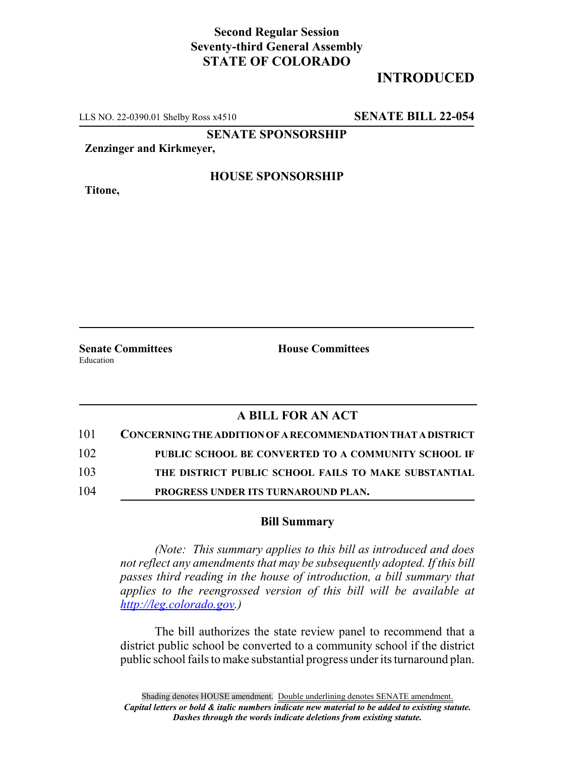# **Second Regular Session Seventy-third General Assembly STATE OF COLORADO**

# **INTRODUCED**

LLS NO. 22-0390.01 Shelby Ross x4510 **SENATE BILL 22-054**

**SENATE SPONSORSHIP**

**Zenzinger and Kirkmeyer,**

**Titone,**

### **HOUSE SPONSORSHIP**

**Senate Committees House Committees** Education

## **A BILL FOR AN ACT**

| 101 | CONCERNING THE ADDITION OF A RECOMMENDATION THAT A DISTRICT |
|-----|-------------------------------------------------------------|
| 102 | PUBLIC SCHOOL BE CONVERTED TO A COMMUNITY SCHOOL IF         |
| 103 | THE DISTRICT PUBLIC SCHOOL FAILS TO MAKE SUBSTANTIAL        |
| 104 | PROGRESS UNDER ITS TURNAROUND PLAN.                         |

#### **Bill Summary**

*(Note: This summary applies to this bill as introduced and does not reflect any amendments that may be subsequently adopted. If this bill passes third reading in the house of introduction, a bill summary that applies to the reengrossed version of this bill will be available at http://leg.colorado.gov.)*

The bill authorizes the state review panel to recommend that a district public school be converted to a community school if the district public school fails to make substantial progress under its turnaround plan.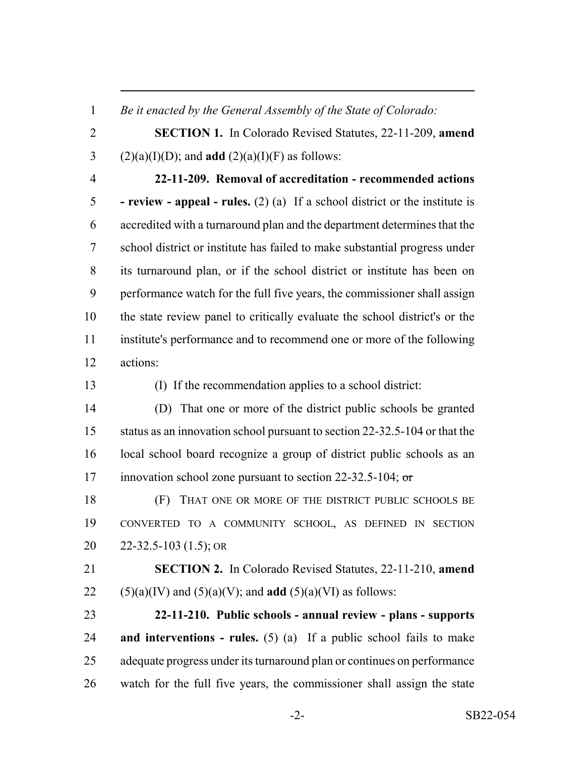*Be it enacted by the General Assembly of the State of Colorado:*

 **SECTION 1.** In Colorado Revised Statutes, 22-11-209, **amend** 3 (2)(a)(I)(D); and **add** (2)(a)(I)(F) as follows:

 **22-11-209. Removal of accreditation - recommended actions - review - appeal - rules.** (2) (a) If a school district or the institute is accredited with a turnaround plan and the department determines that the school district or institute has failed to make substantial progress under its turnaround plan, or if the school district or institute has been on performance watch for the full five years, the commissioner shall assign the state review panel to critically evaluate the school district's or the institute's performance and to recommend one or more of the following actions:

(I) If the recommendation applies to a school district:

 (D) That one or more of the district public schools be granted status as an innovation school pursuant to section 22-32.5-104 or that the local school board recognize a group of district public schools as an 17 innovation school zone pursuant to section 22-32.5-104; or

 (F) THAT ONE OR MORE OF THE DISTRICT PUBLIC SCHOOLS BE CONVERTED TO A COMMUNITY SCHOOL, AS DEFINED IN SECTION 22-32.5-103 (1.5); OR

 **SECTION 2.** In Colorado Revised Statutes, 22-11-210, **amend** 22 (5)(a)(IV) and (5)(a)(V); and **add** (5)(a)(VI) as follows:

 **22-11-210. Public schools - annual review - plans - supports and interventions - rules.** (5) (a) If a public school fails to make adequate progress under its turnaround plan or continues on performance watch for the full five years, the commissioner shall assign the state